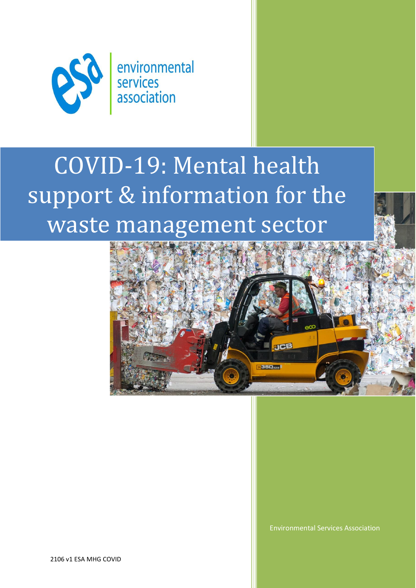

# COVID-19: Mental health support & information for the waste management sector



Environmental Services Association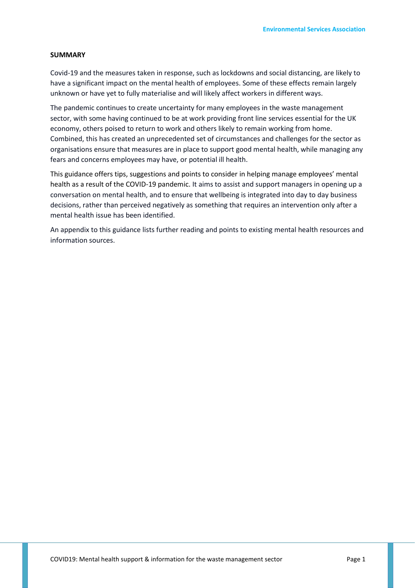#### **SUMMARY**

Covid-19 and the measures taken in response, such as lockdowns and social distancing, are likely to have a significant impact on the mental health of employees. Some of these effects remain largely unknown or have yet to fully materialise and will likely affect workers in different ways.

The pandemic continues to create uncertainty for many employees in the waste management sector, with some having continued to be at work providing front line services essential for the UK economy, others poised to return to work and others likely to remain working from home. Combined, this has created an unprecedented set of circumstances and challenges for the sector as organisations ensure that measures are in place to support good mental health, while managing any fears and concerns employees may have, or potential ill health.

This guidance offers tips, suggestions and points to consider in helping manage employees' mental health as a result of the COVID-19 pandemic. It aims to assist and support managers in opening up a conversation on mental health, and to ensure that wellbeing is integrated into day to day business decisions, rather than perceived negatively as something that requires an intervention only after a mental health issue has been identified.

An appendix to this guidance lists further reading and points to existing mental health resources and information sources.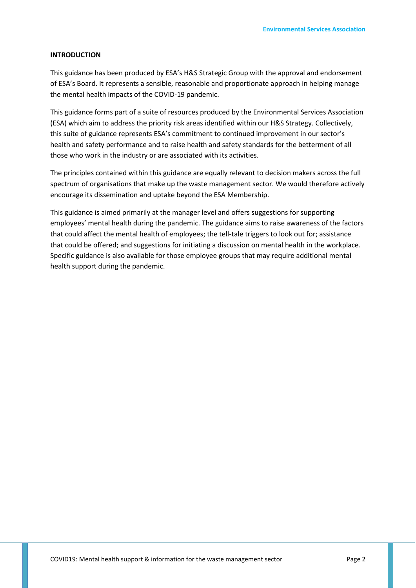#### **INTRODUCTION**

This guidance has been produced by ESA's H&S Strategic Group with the approval and endorsement of ESA's Board. It represents a sensible, reasonable and proportionate approach in helping manage the mental health impacts of the COVID-19 pandemic.

This guidance forms part of a suite of resources produced by the Environmental Services Association (ESA) which aim to address the priority risk areas identified within our H&S Strategy. Collectively, this suite of guidance represents ESA's commitment to continued improvement in our sector's health and safety performance and to raise health and safety standards for the betterment of all those who work in the industry or are associated with its activities.

The principles contained within this guidance are equally relevant to decision makers across the full spectrum of organisations that make up the waste management sector. We would therefore actively encourage its dissemination and uptake beyond the ESA Membership.

This guidance is aimed primarily at the manager level and offers suggestions for supporting employees' mental health during the pandemic. The guidance aims to raise awareness of the factors that could affect the mental health of employees; the tell-tale triggers to look out for; assistance that could be offered; and suggestions for initiating a discussion on mental health in the workplace. Specific guidance is also available for those employee groups that may require additional mental health support during the pandemic.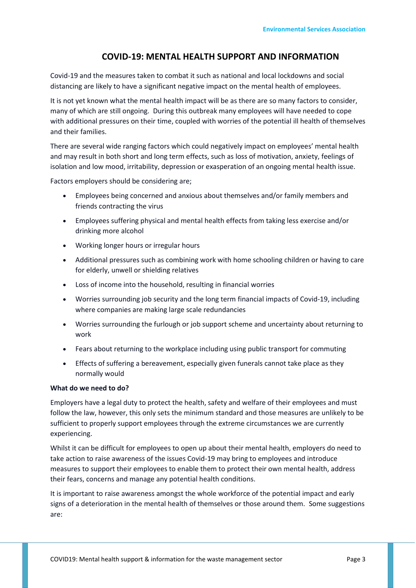# **COVID-19: MENTAL HEALTH SUPPORT AND INFORMATION**

Covid-19 and the measures taken to combat it such as national and local lockdowns and social distancing are likely to have a significant negative impact on the mental health of employees.

It is not yet known what the mental health impact will be as there are so many factors to consider, many of which are still ongoing. During this outbreak many employees will have needed to cope with additional pressures on their time, coupled with worries of the potential ill health of themselves and their families.

There are several wide ranging factors which could negatively impact on employees' mental health and may result in both short and long term effects, such as loss of motivation, anxiety, feelings of isolation and low mood, irritability, depression or exasperation of an ongoing mental health issue.

Factors employers should be considering are;

- Employees being concerned and anxious about themselves and/or family members and friends contracting the virus
- Employees suffering physical and mental health effects from taking less exercise and/or drinking more alcohol
- Working longer hours or irregular hours
- Additional pressures such as combining work with home schooling children or having to care for elderly, unwell or shielding relatives
- Loss of income into the household, resulting in financial worries
- Worries surrounding job security and the long term financial impacts of Covid-19, including where companies are making large scale redundancies
- Worries surrounding the furlough or job support scheme and uncertainty about returning to work
- Fears about returning to the workplace including using public transport for commuting
- Effects of suffering a bereavement, especially given funerals cannot take place as they normally would

## **What do we need to do?**

Employers have a legal duty to protect the health, safety and welfare of their employees and must follow the law, however, this only sets the minimum standard and those measures are unlikely to be sufficient to properly support employees through the extreme circumstances we are currently experiencing.

Whilst it can be difficult for employees to open up about their mental health, employers do need to take action to raise awareness of the issues Covid-19 may bring to employees and introduce measures to support their employees to enable them to protect their own mental health, address their fears, concerns and manage any potential health conditions.

It is important to raise awareness amongst the whole workforce of the potential impact and early signs of a deterioration in the mental health of themselves or those around them. Some suggestions are: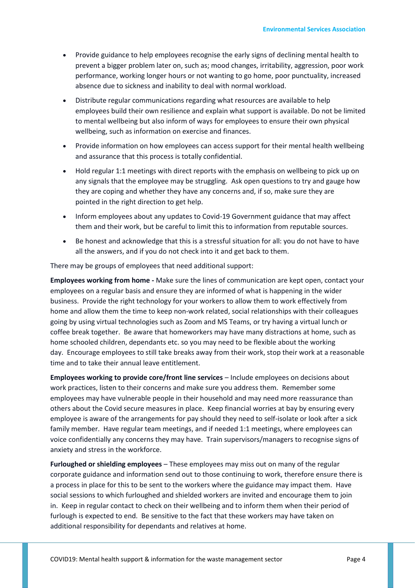- Provide guidance to help employees recognise the early signs of declining mental health to prevent a bigger problem later on, such as; mood changes, irritability, aggression, poor work performance, working longer hours or not wanting to go home, poor punctuality, increased absence due to sickness and inability to deal with normal workload.
- Distribute regular communications regarding what resources are available to help employees build their own resilience and explain what support is available. Do not be limited to mental wellbeing but also inform of ways for employees to ensure their own physical wellbeing, such as information on exercise and finances.
- Provide information on how employees can access support for their mental health wellbeing and assurance that this process is totally confidential.
- Hold regular 1:1 meetings with direct reports with the emphasis on wellbeing to pick up on any signals that the employee may be struggling. Ask open questions to try and gauge how they are coping and whether they have any concerns and, if so, make sure they are pointed in the right direction to get help.
- Inform employees about any updates to Covid-19 Government guidance that may affect them and their work, but be careful to limit this to information from reputable sources.
- Be honest and acknowledge that this is a stressful situation for all: you do not have to have all the answers, and if you do not check into it and get back to them.

There may be groups of employees that need additional support:

**Employees working from home -** Make sure the lines of communication are kept open, contact your employees on a regular basis and ensure they are informed of what is happening in the wider business. Provide the right technology for your workers to allow them to work effectively from home and allow them the time to keep non-work related, social relationships with their colleagues going by using virtual technologies such as Zoom and MS Teams, or try having a virtual lunch or coffee break together. Be aware that homeworkers may have many distractions at home, such as home schooled children, dependants etc. so you may need to be flexible about the working day. Encourage employees to still take breaks away from their work, stop their work at a reasonable time and to take their annual leave entitlement.

**Employees working to provide core/front line services** – Include employees on decisions about work practices, listen to their concerns and make sure you address them. Remember some employees may have vulnerable people in their household and may need more reassurance than others about the Covid secure measures in place. Keep financial worries at bay by ensuring every employee is aware of the arrangements for pay should they need to self-isolate or look after a sick family member. Have regular team meetings, and if needed 1:1 meetings, where employees can voice confidentially any concerns they may have. Train supervisors/managers to recognise signs of anxiety and stress in the workforce.

**Furloughed or shielding employees** – These employees may miss out on many of the regular corporate guidance and information send out to those continuing to work, therefore ensure there is a process in place for this to be sent to the workers where the guidance may impact them. Have social sessions to which furloughed and shielded workers are invited and encourage them to join in. Keep in regular contact to check on their wellbeing and to inform them when their period of furlough is expected to end. Be sensitive to the fact that these workers may have taken on additional responsibility for dependants and relatives at home.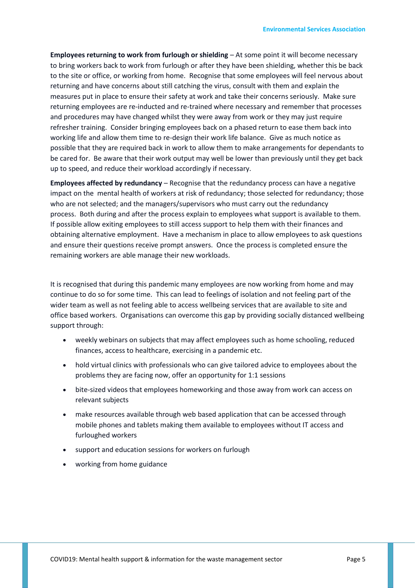**Employees returning to work from furlough or shielding** – At some point it will become necessary to bring workers back to work from furlough or after they have been shielding, whether this be back to the site or office, or working from home. Recognise that some employees will feel nervous about returning and have concerns about still catching the virus, consult with them and explain the measures put in place to ensure their safety at work and take their concerns seriously. Make sure returning employees are re-inducted and re-trained where necessary and remember that processes and procedures may have changed whilst they were away from work or they may just require refresher training. Consider bringing employees back on a phased return to ease them back into working life and allow them time to re-design their work life balance. Give as much notice as possible that they are required back in work to allow them to make arrangements for dependants to be cared for. Be aware that their work output may well be lower than previously until they get back up to speed, and reduce their workload accordingly if necessary.

**Employees affected by redundancy** – Recognise that the redundancy process can have a negative impact on the mental health of workers at risk of redundancy; those selected for redundancy; those who are not selected; and the managers/supervisors who must carry out the redundancy process. Both during and after the process explain to employees what support is available to them. If possible allow exiting employees to still access support to help them with their finances and obtaining alternative employment. Have a mechanism in place to allow employees to ask questions and ensure their questions receive prompt answers. Once the process is completed ensure the remaining workers are able manage their new workloads.

It is recognised that during this pandemic many employees are now working from home and may continue to do so for some time. This can lead to feelings of isolation and not feeling part of the wider team as well as not feeling able to access wellbeing services that are available to site and office based workers. Organisations can overcome this gap by providing socially distanced wellbeing support through:

- weekly webinars on subjects that may affect employees such as home schooling, reduced finances, access to healthcare, exercising in a pandemic etc.
- hold virtual clinics with professionals who can give tailored advice to employees about the problems they are facing now, offer an opportunity for 1:1 sessions
- bite-sized videos that employees homeworking and those away from work can access on relevant subjects
- make resources available through web based application that can be accessed through mobile phones and tablets making them available to employees without IT access and furloughed workers
- support and education sessions for workers on furlough
- working from home guidance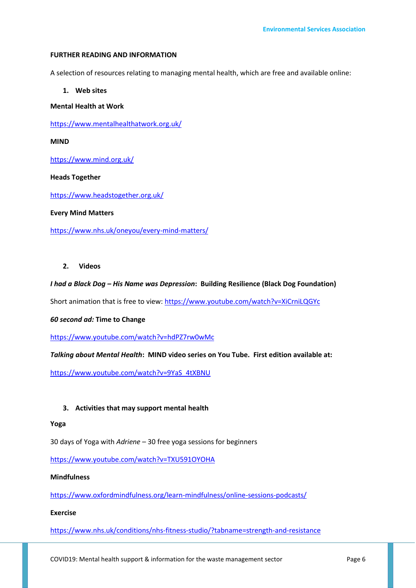#### **FURTHER READING AND INFORMATION**

A selection of resources relating to managing mental health, which are free and available online:

## **1. Web sites**

### **Mental Health at Work**

<https://www.mentalhealthatwork.org.uk/>

**MIND** 

<https://www.mind.org.uk/>

#### **Heads Together**

<https://www.headstogether.org.uk/>

#### **Every Mind Matters**

<https://www.nhs.uk/oneyou/every-mind-matters/>

#### **2. Videos**

#### *I had a Black Dog – His Name was Depression***: Building Resilience (Black Dog Foundation)**

Short animation that is free to view[: https://www.youtube.com/watch?v=XiCrniLQGYc](https://www.youtube.com/watch?v=XiCrniLQGYc)

#### *60 second ad:* **Time to Change**

<https://www.youtube.com/watch?v=hdPZ7rw0wMc>

## *Talking about Mental Health***: MIND video series on You Tube. First edition available at:**

[https://www.youtube.com/watch?v=9YaS\\_4tXBNU](https://www.youtube.com/watch?v=9YaS_4tXBNU)

## **3. Activities that may support mental health**

#### **Yoga**

30 days of Yoga with *Adriene* – 30 free yoga sessions for beginners

<https://www.youtube.com/watch?v=TXU591OYOHA>

## **Mindfulness**

<https://www.oxfordmindfulness.org/learn-mindfulness/online-sessions-podcasts/>

#### **Exercise**

<https://www.nhs.uk/conditions/nhs-fitness-studio/?tabname=strength-and-resistance>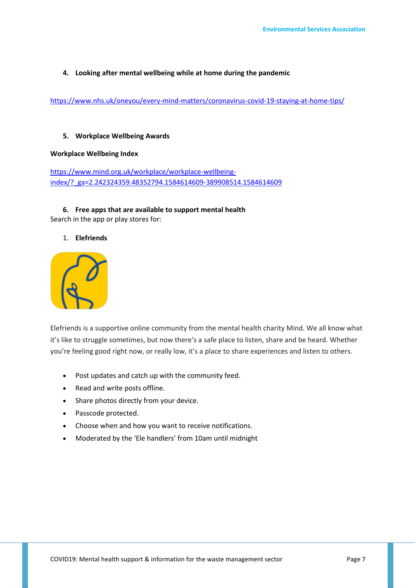## **4. Looking after mental wellbeing while at home during the pandemic**

<https://www.nhs.uk/oneyou/every-mind-matters/coronavirus-covid-19-staying-at-home-tips/>

## **5. Workplace Wellbeing Awards**

#### **Workplace Wellbeing Index**

[https://www.mind.org.uk/workplace/workplace-wellbeing](https://www.mind.org.uk/workplace/workplace-wellbeing-index/?_ga=2.242324359.48352794.1584614609-389908514.1584614609)[index/?\\_ga=2.242324359.48352794.1584614609-389908514.1584614609](https://www.mind.org.uk/workplace/workplace-wellbeing-index/?_ga=2.242324359.48352794.1584614609-389908514.1584614609)

## **6. Free apps that are available to support mental health** Search in the app or play stores for:

## 1. **Elefriends**



Elefriends is a supportive online community from the mental health charity Mind. We all know what it's like to struggle sometimes, but now there's a safe place to listen, share and be heard. Whether you're feeling good right now, or really low, it's a place to share experiences and listen to others.

- Post updates and catch up with the community feed.
- Read and write posts offline.
- Share photos directly from your device.
- Passcode protected.
- Choose when and how you want to receive notifications.
- Moderated by the 'Ele handlers' from 10am until midnight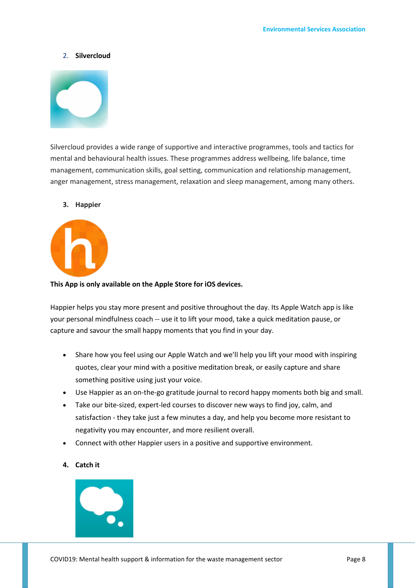#### 2. **Silvercloud**



Silvercloud provides a wide range of supportive and interactive programmes, tools and tactics for mental and behavioural health issues. These programmes address wellbeing, life balance, time management, communication skills, goal setting, communication and relationship management, anger management, stress management, relaxation and sleep management, among many others.

### **3. Happier**



#### **This App is only available on the Apple Store for iOS devices.**

Happier helps you stay more present and positive throughout the day. Its Apple Watch app is like your personal mindfulness coach -- use it to lift your mood, take a quick meditation pause, or capture and savour the small happy moments that you find in your day.

- Share how you feel using our Apple Watch and we'll help you lift your mood with inspiring quotes, clear your mind with a positive meditation break, or easily capture and share something positive using just your voice.
- Use Happier as an on-the-go gratitude journal to record happy moments both big and small.
- Take our bite-sized, expert-led courses to discover new ways to find joy, calm, and satisfaction - they take just a few minutes a day, and help you become more resistant to negativity you may encounter, and more resilient overall.
- Connect with other Happier users in a positive and supportive environment.

## **4. Catch it**

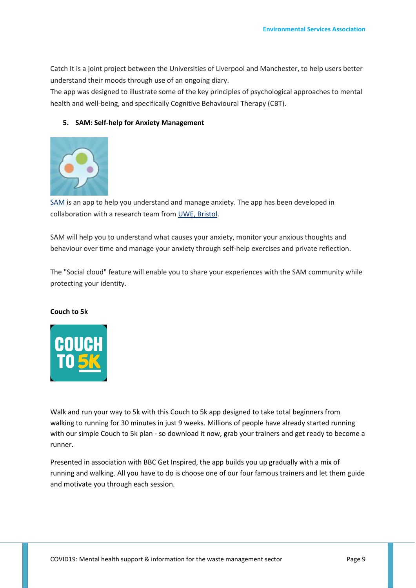Catch It is a joint project between the Universities of Liverpool and Manchester, to help users better understand their moods through use of an ongoing diary.

The app was designed to illustrate some of the key principles of psychological approaches to mental health and well-being, and specifically Cognitive Behavioural Therapy (CBT).

## **5. SAM: Self-help for Anxiety Management**



[SAM is](http://sam-app.org.uk/) an app to help you understand and manage anxiety. The app has been developed in collaboration with a research team from [UWE, Bristol.](http://www1.uwe.ac.uk/et/csct/research/samanxietymanagementmobile.aspx)

SAM will help you to understand what causes your anxiety, monitor your anxious thoughts and behaviour over time and manage your anxiety through self-help exercises and private reflection.

The "Social cloud" feature will enable you to share your experiences with the SAM community while protecting your identity.

## **Couch to 5k**



Walk and run your way to 5k with this Couch to 5k app designed to take total beginners from walking to running for 30 minutes in just 9 weeks. Millions of people have already started running with our simple Couch to 5k plan - so download it now, grab your trainers and get ready to become a runner.

Presented in association with BBC Get Inspired, the app builds you up gradually with a mix of running and walking. All you have to do is choose one of our four famous trainers and let them guide and motivate you through each session.